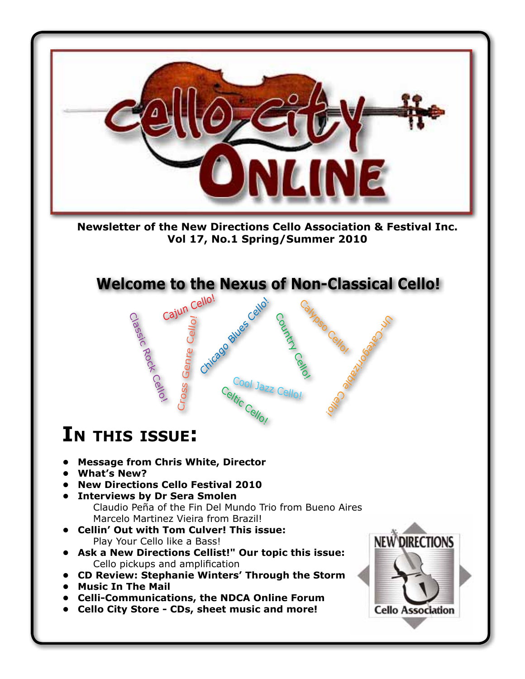

**Newsletter of the New Directions Cello Association & Festival Inc. Vol 17, No.1 Spring/Summer 2010**

 Cajun Cello! **Welcome to the Nexus of Non-Classical Cello!** 

Cool Jazz Cello!<br>h:

Celtic Cello!

Chicago Blues Cello!

Country Cello

Calypso Cello!

ICategorizable Cello

# **In thIs Issue:**

Classic Rock Cello!

Cross Genre Cello!

- **• Message from Chris White, Director**
- **• What's New?**
- **• New Directions Cello Festival 2010**
- **Example 1 Interviews by Dr Sera Smolen**  Claudio Peña of the Fin Del Mundo Trio from Bueno Aires
	- Marcelo Martinez Vieira from Brazil!
- **• Cellin' Out with Tom Culver! This issue:**  Play Your Cello like a Bass!
- Ask a New Directions Cellist!" Our topic this issue: Cello pickups and amplification
- **• CD Review: Stephanie Winters' Through the Storm**
- **• Music In The Mail**
- **• Celli-Communications, the NDCA Online Forum**
- **• Cello City Store CDs, sheet music and more!**

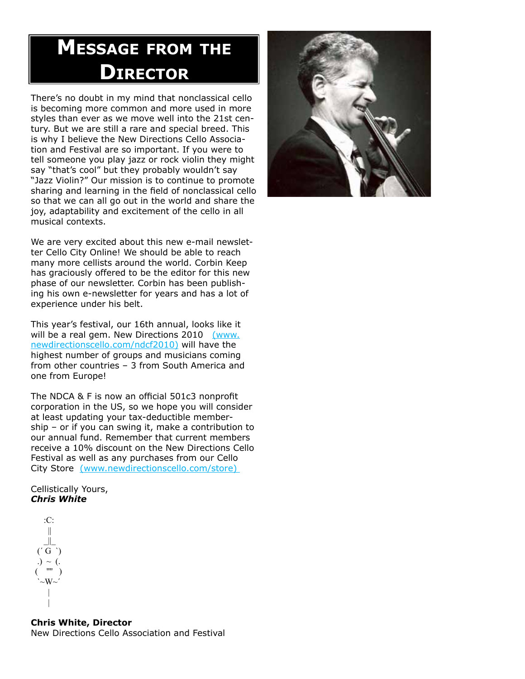# **Message froM the DIrector**

There's no doubt in my mind that nonclassical cello is becoming more common and more used in more styles than ever as we move well into the 21st century. But we are still a rare and special breed. This is why I believe the New Directions Cello Association and Festival are so important. If you were to tell someone you play jazz or rock violin they might say "that's cool" but they probably wouldn't say "Jazz Violin?" Our mission is to continue to promote sharing and learning in the field of nonclassical cello so that we can all go out in the world and share the joy, adaptability and excitement of the cello in all musical contexts.

We are very excited about this new e-mail newsletter Cello City Online! We should be able to reach many more cellists around the world. Corbin Keep has graciously offered to be the editor for this new phase of our newsletter. Corbin has been publishing his own e-newsletter for years and has a lot of experience under his belt.

This year's festival, our 16th annual, looks like it will be a real gem. New Directions 2010 (www. newdirectionscello.com/ndcf2010) will have the highest number of groups and musicians coming from other countries – 3 from South America and one from Europe!

The NDCA & F is now an official 501c3 nonprofit corporation in the US, so we hope you will consider at least updating your tax-deductible membership – or if you can swing it, make a contribution to our annual fund. Remember that current members receive a 10% discount on the New Directions Cello Festival as well as any purchases from our Cello City Store (www.newdirectionscello.com/store)

Cellistically Yours, *Chris White*

#### :C: ||  $\|$  $'$  G  $'$ )  $\sim$  (.  $($  ""  $)$  `~W~´ | |

**Chris White, Director** New Directions Cello Association and Festival

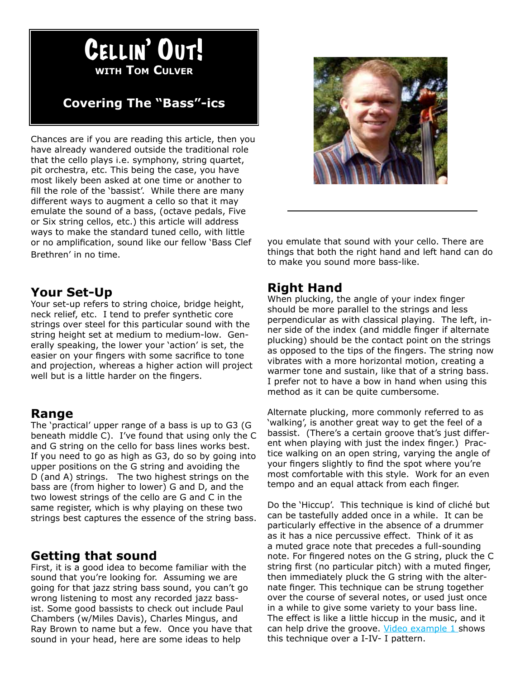

# **Covering The "Bass"-ics**

Chances are if you are reading this article, then you have already wandered outside the traditional role that the cello plays i.e. symphony, string quartet, pit orchestra, etc. This being the case, you have most likely been asked at one time or another to fill the role of the 'bassist'. While there are many different ways to augment a cello so that it may emulate the sound of a bass, (octave pedals, Five or Six string cellos, etc.) this article will address ways to make the standard tuned cello, with little or no amplification, sound like our fellow 'Bass Clef Brethren' in no time.



you emulate that sound with your cello. There are things that both the right hand and left hand can do to make you sound more bass-like.

### **Your Set-Up**

Your set-up refers to string choice, bridge height, neck relief, etc. I tend to prefer synthetic core strings over steel for this particular sound with the string height set at medium to medium-low. Generally speaking, the lower your 'action' is set, the easier on your fingers with some sacrifice to tone and projection, whereas a higher action will project well but is a little harder on the fingers.

### **Range**

The 'practical' upper range of a bass is up to G3 (G) beneath middle C). I've found that using only the C and G string on the cello for bass lines works best. If you need to go as high as G3, do so by going into upper positions on the G string and avoiding the D (and A) strings. The two highest strings on the bass are (from higher to lower) G and D, and the two lowest strings of the cello are G and C in the same register, which is why playing on these two strings best captures the essence of the string bass.

### **Getting that sound**

First, it is a good idea to become familiar with the sound that you're looking for. Assuming we are going for that jazz string bass sound, you can't go wrong listening to most any recorded jazz bassist. Some good bassists to check out include Paul Chambers (w/Miles Davis), Charles Mingus, and Ray Brown to name but a few. Once you have that sound in your head, here are some ideas to help

## **Right Hand**

When plucking, the angle of your index finger should be more parallel to the strings and less perpendicular as with classical playing. The left, inner side of the index (and middle finger if alternate plucking) should be the contact point on the strings as opposed to the tips of the fingers. The string now vibrates with a more horizontal motion, creating a warmer tone and sustain, like that of a string bass. I prefer not to have a bow in hand when using this method as it can be quite cumbersome.

Alternate plucking, more commonly referred to as 'walking', is another great way to get the feel of a bassist. (There's a certain groove that's just different when playing with just the index finger.) Practice walking on an open string, varying the angle of your fingers slightly to find the spot where you're most comfortable with this style. Work for an even tempo and an equal attack from each finger.

Do the 'Hiccup'. This technique is kind of cliché but can be tastefully added once in a while. It can be particularly effective in the absence of a drummer as it has a nice percussive effect. Think of it as a muted grace note that precedes a full-sounding note. For fingered notes on the G string, pluck the C string first (no particular pitch) with a muted finger, then immediately pluck the G string with the alternate finger. This technique can be strung together over the course of several notes, or used just once in a while to give some variety to your bass line. The effect is like a little hiccup in the music, and it can help drive the groove. Video example 1 shows this technique over a I-IV- I pattern.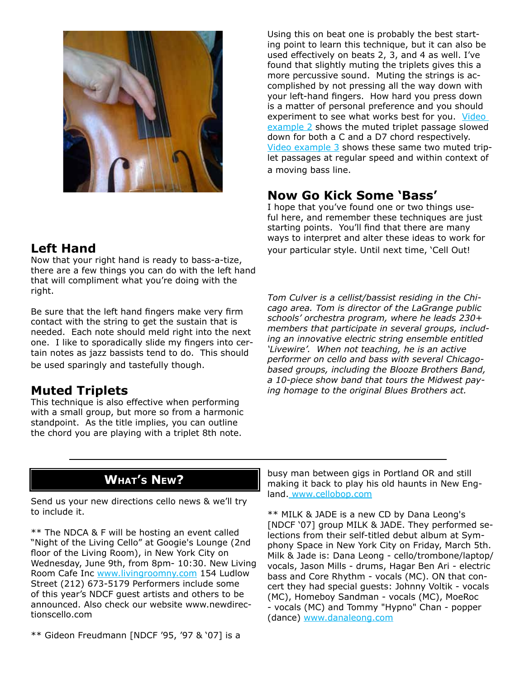

## **Left Hand**

Now that your right hand is ready to bass-a-tize, there are a few things you can do with the left hand that will compliment what you're doing with the right.

Be sure that the left hand fingers make very firm contact with the string to get the sustain that is needed. Each note should meld right into the next one. I like to sporadically slide my fingers into certain notes as jazz bassists tend to do. This should be used sparingly and tastefully though.

## **Muted Triplets**

This technique is also effective when performing with a small group, but more so from a harmonic standpoint. As the title implies, you can outline the chord you are playing with a triplet 8th note.

Using this on beat one is probably the best starting point to learn this technique, but it can also be used effectively on beats 2, 3, and 4 as well. I've found that slightly muting the triplets gives this a more percussive sound. Muting the strings is accomplished by not pressing all the way down with your left-hand fingers. How hard you press down is a matter of personal preference and you should experiment to see what works best for you. Video example 2 shows the muted triplet passage slowed down for both a C and a D7 chord respectively. Video example 3 shows these same two muted triplet passages at regular speed and within context of a moving bass line.

# **Now Go Kick Some 'Bass'**

I hope that you've found one or two things useful here, and remember these techniques are just starting points. You'll find that there are many ways to interpret and alter these ideas to work for your particular style. Until next time, 'Cell Out!

*Tom Culver is a cellist/bassist residing in the Chicago area. Tom is director of the LaGrange public schools' orchestra program, where he leads 230+ members that participate in several groups, including an innovative electric string ensemble entitled 'Livewire'. When not teaching, he is an active performer on cello and bass with several Chicagobased groups, including the Blooze Brothers Band, a 10-piece show band that tours the Midwest paying homage to the original Blues Brothers act.*

# **what's new?**

Send us your new directions cello news & we'll try to include it.

\*\* The NDCA & F will be hosting an event called "Night of the Living Cello" at Googie's Lounge (2nd floor of the Living Room), in New York City on Wednesday, June 9th, from 8pm- 10:30. New Living Room Cafe Inc www.livingroomny.com 154 Ludlow Street (212) 673-5179 Performers include some of this year's NDCF guest artists and others to be announced. Also check our website www.newdirectionscello.com

 $**$  Gideon Freudmann [NDCF '95, '97 & '07] is a

busy man between gigs in Portland OR and still making it back to play his old haunts in New England. www.cellobop.com

\*\* MILK & JADE is a new CD by Dana Leong's [NDCF '07] group MILK & JADE. They performed selections from their self-titled debut album at Symphony Space in New York City on Friday, March 5th. Milk & Jade is: Dana Leong - cello/trombone/laptop/ vocals, Jason Mills - drums, Hagar Ben Ari - electric bass and Core Rhythm - vocals (MC). ON that concert they had special guests: Johnny Voltik - vocals (MC), Homeboy Sandman - vocals (MC), MoeRoc - vocals (MC) and Tommy "Hypno" Chan - popper (dance) www.danaleong.com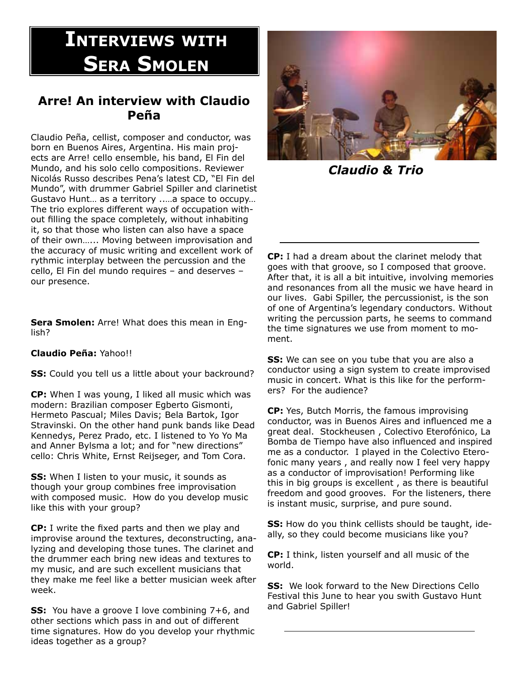# **IntervIews wIth SERA SMOLEN**

## **Arre! An interview with Claudio Peña**

Claudio Peña, cellist, composer and conductor, was born en Buenos Aires, Argentina. His main projects are Arre! cello ensemble, his band, El Fin del Mundo, and his solo cello compositions. Reviewer Nicolás Russo describes Pena's latest CD, "El Fin del Mundo", with drummer Gabriel Spiller and clarinetist Gustavo Hunt... as a territory .....a space to occupy... The trio explores different ways of occupation without filling the space completely, without inhabiting it, so that those who listen can also have a space of their own...... Moving between improvisation and the accuracy of music writing and excellent work of rythmic interplay between the percussion and the cello, El Fin del mundo requires – and deserves – our presence.

**Sera Smolen:** Arre! What does this mean in English?

**Claudio Peña:** Yahoo!!

**SS:** Could you tell us a little about your backround?

**CP:** When I was young, I liked all music which was modern: Brazilian composer Egberto Gismonti, Hermeto Pascual; Miles Davis; Bela Bartok, Igor Stravinski. On the other hand punk bands like Dead Kennedys, Perez Prado, etc. I listened to Yo Yo Ma and Anner Bylsma a lot; and for "new directions" cello: Chris White, Ernst Reijseger, and Tom Cora.

**SS:** When I listen to your music, it sounds as though your group combines free improvisation with composed music. How do you develop music like this with your group?

**CP:** I write the fixed parts and then we play and improvise around the textures, deconstructing, analyzing and developing those tunes. The clarinet and the drummer each bring new ideas and textures to my music, and are such excellent musicians that they make me feel like a better musician week after week.

**SS:** You have a groove I love combining 7+6, and other sections which pass in and out of different time signatures. How do you develop your rhythmic ideas together as a group?



*Claudio & Trio*

**CP:** I had a dream about the clarinet melody that goes with that groove, so I composed that groove. After that, it is all a bit intuitive, involving memories and resonances from all the music we have heard in our lives. Gabi Spiller, the percussionist, is the son of one of Argentina's legendary conductors. Without writing the percussion parts, he seems to command the time signatures we use from moment to moment.

**SS:** We can see on you tube that you are also a conductor using a sign system to create improvised music in concert. What is this like for the performers? For the audience?

**CP:** Yes, Butch Morris, the famous improvising conductor, was in Buenos Aires and influenced me a great deal. Stockheusen , Colectivo Eterofónico, La Bomba de Tiempo have also influenced and inspired me as a conductor. I played in the Colectivo Eterofonic many years , and really now I feel very happy as a conductor of improvisation! Performing like this in big groups is excellent , as there is beautiful freedom and good grooves. For the listeners, there is instant music, surprise, and pure sound.

**SS:** How do you think cellists should be taught, ideally, so they could become musicians like you?

**CP:** I think, listen yourself and all music of the world.

**SS:** We look forward to the New Directions Cello Festival this June to hear you swith Gustavo Hunt and Gabriel Spiller!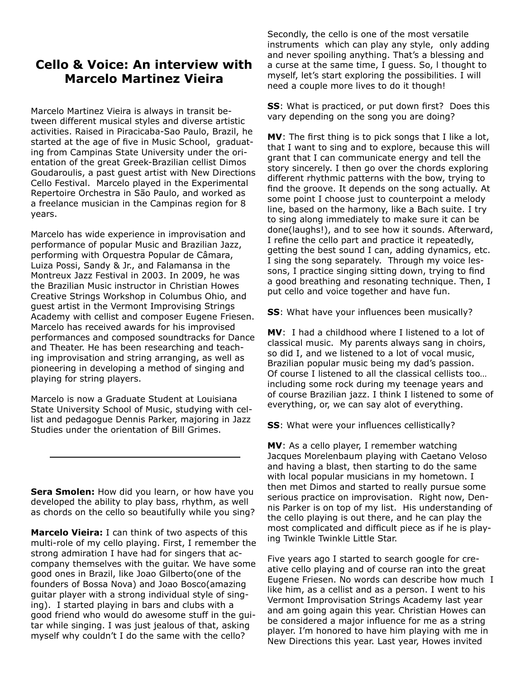### **Cello & Voice: An interview with Marcelo Martinez Vieira**

Marcelo Martinez Vieira is always in transit between different musical styles and diverse artistic activities. Raised in Piracicaba-Sao Paulo, Brazil, he started at the age of five in Music School, graduating from Campinas State University under the orientation of the great Greek-Brazilian cellist Dimos Goudaroulis, a past guest artist with New Directions Cello Festival. Marcelo played in the Experimental Repertoire Orchestra in São Paulo, and worked as a freelance musician in the Campinas region for 8 years.

Marcelo has wide experience in improvisation and performance of popular Music and Brazilian Jazz, performing with Orquestra Popular de Câmara, Luiza Possi, Sandy & Jr., and Falamansa in the Montreux Jazz Festival in 2003. In 2009, he was the Brazilian Music instructor in Christian Howes Creative Strings Workshop in Columbus Ohio, and guest artist in the Vermont Improvising Strings Academy with cellist and composer Eugene Friesen. Marcelo has received awards for his improvised performances and composed soundtracks for Dance and Theater. He has been researching and teaching improvisation and string arranging, as well as pioneering in developing a method of singing and playing for string players.

Marcelo is now a Graduate Student at Louisiana State University School of Music, studying with cellist and pedagogue Dennis Parker, majoring in Jazz Studies under the orientation of Bill Grimes.

**Sera Smolen:** How did you learn, or how have you developed the ability to play bass, rhythm, as well as chords on the cello so beautifully while you sing?

**Marcelo Vieira:** I can think of two aspects of this multi-role of my cello playing. First, I remember the strong admiration I have had for singers that accompany themselves with the guitar. We have some good ones in Brazil, like Joao Gilberto(one of the founders of Bossa Nova) and Joao Bosco(amazing guitar player with a strong individual style of singing). I started playing in bars and clubs with a good friend who would do awesome stuff in the guitar while singing. I was just jealous of that, asking myself why couldn't I do the same with the cello?

Secondly, the cello is one of the most versatile instruments which can play any style, only adding and never spoiling anything. That's a blessing and a curse at the same time, I guess. So, l thought to myself, let's start exploring the possibilities. I will need a couple more lives to do it though!

**SS**: What is practiced, or put down first? Does this vary depending on the song you are doing?

**MV**: The first thing is to pick songs that I like a lot, that I want to sing and to explore, because this will grant that I can communicate energy and tell the story sincerely. I then go over the chords exploring different rhythmic patterns with the bow, trying to find the groove. It depends on the song actually. At some point I choose just to counterpoint a melody line, based on the harmony, like a Bach suite. I try to sing along immediately to make sure it can be done(laughs!), and to see how it sounds. Afterward, I refine the cello part and practice it repeatedly, getting the best sound I can, adding dynamics, etc. I sing the song separately. Through my voice lessons, I practice singing sitting down, trying to find a good breathing and resonating technique. Then, I put cello and voice together and have fun.

**SS**: What have your influences been musically?

**MV**: I had a childhood where I listened to a lot of classical music. My parents always sang in choirs, so did I, and we listened to a lot of vocal music, Brazilian popular music being my dad's passion. Of course I listened to all the classical cellists too... including some rock during my teenage years and of course Brazilian jazz. I think I listened to some of everything, or, we can say alot of everything.

**SS**: What were your influences cellistically?

**MV**: As a cello player, I remember watching Jacques Morelenbaum playing with Caetano Veloso and having a blast, then starting to do the same with local popular musicians in my hometown. I then met Dimos and started to really pursue some serious practice on improvisation. Right now, Dennis Parker is on top of my list. His understanding of the cello playing is out there, and he can play the most complicated and difficult piece as if he is playing Twinkle Twinkle Little Star.

Five years ago I started to search google for creative cello playing and of course ran into the great Eugene Friesen. No words can describe how much I like him, as a cellist and as a person. I went to his Vermont Improvisation Strings Academy last year and am going again this year. Christian Howes can be considered a major influence for me as a string player. I'm honored to have him playing with me in New Directions this year. Last year, Howes invited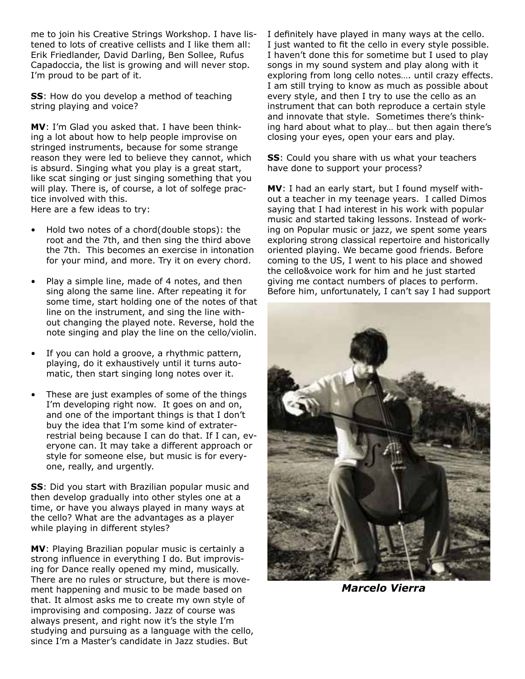me to join his Creative Strings Workshop. I have listened to lots of creative cellists and I like them all: Erik Friedlander, David Darling, Ben Sollee, Rufus Capadoccia, the list is growing and will never stop. I'm proud to be part of it.

**SS**: How do you develop a method of teaching string playing and voice?

**MV**: I'm Glad you asked that. I have been thinking a lot about how to help people improvise on stringed instruments, because for some strange reason they were led to believe they cannot, which is absurd. Singing what you play is a great start, like scat singing or just singing something that you will play. There is, of course, a lot of solfege practice involved with this. Here are a few ideas to try:

- Hold two notes of a chord(double stops): the root and the 7th, and then sing the third above the 7th. This becomes an exercise in intonation for your mind, and more. Try it on every chord.
- Play a simple line, made of 4 notes, and then sing along the same line. After repeating it for some time, start holding one of the notes of that line on the instrument, and sing the line without changing the played note. Reverse, hold the note singing and play the line on the cello/violin.
- If you can hold a groove, a rhythmic pattern, playing, do it exhaustively until it turns automatic, then start singing long notes over it.
- These are just examples of some of the things I'm developing right now. It goes on and on, and one of the important things is that I don't buy the idea that I'm some kind of extraterrestrial being because I can do that. If I can, everyone can. It may take a different approach or style for someone else, but music is for everyone, really, and urgently.

**SS**: Did you start with Brazilian popular music and then develop gradually into other styles one at a time, or have you always played in many ways at the cello? What are the advantages as a player while playing in different styles?

**MV**: Playing Brazilian popular music is certainly a strong influence in everything I do. But improvising for Dance really opened my mind, musically. There are no rules or structure, but there is movement happening and music to be made based on that. It almost asks me to create my own style of improvising and composing. Jazz of course was always present, and right now it's the style I'm studying and pursuing as a language with the cello, since I'm a Master's candidate in Jazz studies. But

I definitely have played in many ways at the cello. I just wanted to fit the cello in every style possible. I haven't done this for sometime but I used to play songs in my sound system and play along with it exploring from long cello notes.... until crazy effects. I am still trying to know as much as possible about every style, and then I try to use the cello as an instrument that can both reproduce a certain style and innovate that style. Sometimes there's thinking hard about what to play... but then again there's closing your eyes, open your ears and play.

**SS**: Could you share with us what your teachers have done to support your process?

**MV**: I had an early start, but I found myself without a teacher in my teenage years. I called Dimos saying that I had interest in his work with popular music and started taking lessons. Instead of working on Popular music or jazz, we spent some years exploring strong classical repertoire and historically oriented playing. We became good friends. Before coming to the US, I went to his place and showed the cello&voice work for him and he just started giving me contact numbers of places to perform. Before him, unfortunately, I can't say I had support



*Marcelo Vierra*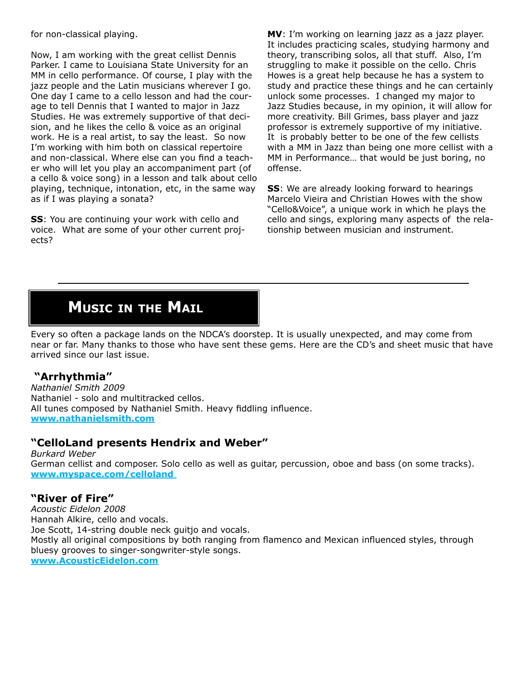for non-classical playing.

Now, I am working with the great cellist Dennis Parker. I came to Louisiana State University for an MM in cello performance. Of course, I play with the jazz people and the Latin musicians wherever I go. One day I came to a cello lesson and had the courage to tell Dennis that I wanted to major in Jazz Studies. He was extremely supportive of that decision, and he likes the cello & voice as an original work. He is a real artist, to say the least. So now I'm working with him both on classical repertoire and non-classical. Where else can you find a teacher who will let you play an accompaniment part (of a cello & voice song) in a lesson and talk about cello playing, technique, intonation, etc, in the same way as if I was playing a sonata?

**SS**: You are continuing your work with cello and voice. What are some of your other current projects?

**MV**: I'm working on learning jazz as a jazz player. It includes practicing scales, studying harmony and theory, transcribing solos, all that stuff. Also, I'm struggling to make it possible on the cello. Chris Howes is a great help because he has a system to study and practice these things and he can certainly unlock some processes. I changed my major to Jazz Studies because, in my opinion, it will allow for more creativity. Bill Grimes, bass player and jazz professor is extremely supportive of my initiative. It is probably better to be one of the few cellists with a MM in Jazz than being one more cellist with a MM in Performance... that would be just boring, no offense.

**SS**: We are already looking forward to hearings Marcelo Vieira and Christian Howes with the show "Cello&Voice", a unique work in which he plays the cello and sings, exploring many aspects of the relationship between musician and instrument.

# **MusIc In the MaIl**

Every so often a package lands on the NDCA's doorstep. It is usually unexpected, and may come from near or far. Many thanks to those who have sent these gems. Here are the CD's and sheet music that have arrived since our last issue.

### **"Arrhythmia"**

*Nathaniel Smith 2009*  Nathaniel - solo and multitracked cellos. All tunes composed by Nathaniel Smith. Heavy fiddling influence. **www.nathanielsmith.com**

### **"CelloLand presents Hendrix and Weber"**

*Burkard Weber* German cellist and composer. Solo cello as well as guitar, percussion, oboe and bass (on some tracks). **www.myspace.com/celloland** 

### **"River of Fire"**

*Acoustic Eidelon 2008* Hannah Alkire, cello and vocals. Joe Scott, 14-string double neck guitjo and vocals. Mostly all original compositions by both ranging from flamenco and Mexican influenced styles, through bluesy grooves to singer-songwriter-style songs. **www.AcousticEidelon.com**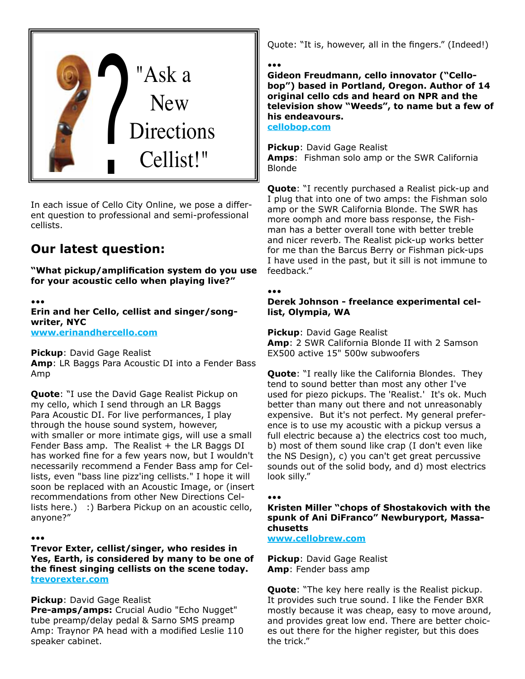

In each issue of Cello City Online, we pose a different question to professional and semi-professional cellists.

## **Our latest question:**

"What pickup/amplification system do you use **for your acoustic cello when playing live?"**

•••

**Erin and her Cello, cellist and singer/songwriter, NYC www.erinandhercello.com**

**Pickup**: David Gage Realist **Amp**: LR Baggs Para Acoustic DI into a Fender Bass Amp

**Quote**: "I use the David Gage Realist Pickup on my cello, which I send through an LR Baggs Para Acoustic DI. For live performances, I play through the house sound system, however, with smaller or more intimate gigs, will use a small Fender Bass amp. The Realist  $+$  the LR Baggs DI has worked fine for a few years now, but I wouldn't necessarily recommend a Fender Bass amp for Cellists, even "bass line pizz'ing cellists." I hope it will soon be replaced with an Acoustic Image, or (insert recommendations from other New Directions Cellists here.) :) Barbera Pickup on an acoustic cello, anyone?"

•••

**Trevor Exter, cellist/singer, who resides in Yes, Earth, is considered by many to be one of**  the finest singing cellists on the scene today. **trevorexter.com**

**Pickup**: David Gage Realist

**Pre-amps/amps:** Crucial Audio "Echo Nugget" tube preamp/delay pedal & Sarno SMS preamp Amp: Traynor PA head with a modified Leslie 110 speaker cabinet.

Quote: "It is, however, all in the fingers." (Indeed!)

•••

**Gideon Freudmann, cello innovator ("Cellobop") based in Portland, Oregon. Author of 14 original cello cds and heard on NPR and the television show "Weeds", to name but a few of his endeavours.** 

**cellobop.com**

**Pickup**: David Gage Realist **Amps**: Fishman solo amp or the SWR California Blonde

**Quote**: "I recently purchased a Realist pick-up and I plug that into one of two amps: the Fishman solo amp or the SWR California Blonde. The SWR has more oomph and more bass response, the Fishman has a better overall tone with better treble and nicer reverb. The Realist pick-up works better for me than the Barcus Berry or Fishman pick-ups I have used in the past, but it sill is not immune to feedback."

•••

**Derek Johnson - freelance experimental cellist, Olympia, WA**

**Pickup**: David Gage Realist **Amp**: 2 SWR California Blonde II with 2 Samson EX500 active 15" 500w subwoofers

**Quote**: "I really like the California Blondes. They tend to sound better than most any other I've used for piezo pickups. The 'Realist.' It's ok. Much better than many out there and not unreasonably expensive. But it's not perfect. My general preference is to use my acoustic with a pickup versus a full electric because a) the electrics cost too much, b) most of them sound like crap (I don't even like the NS Design), c) you can't get great percussive sounds out of the solid body, and d) most electrics look silly."

#### •••

**Kristen Miller "chops of Shostakovich with the spunk of Ani DiFranco" Newburyport, Massachusetts**

**www.cellobrew.com**

**Pickup**: David Gage Realist **Amp**: Fender bass amp

**Quote**: "The key here really is the Realist pickup. It provides such true sound. I like the Fender BXR mostly because it was cheap, easy to move around, and provides great low end. There are better choices out there for the higher register, but this does the trick."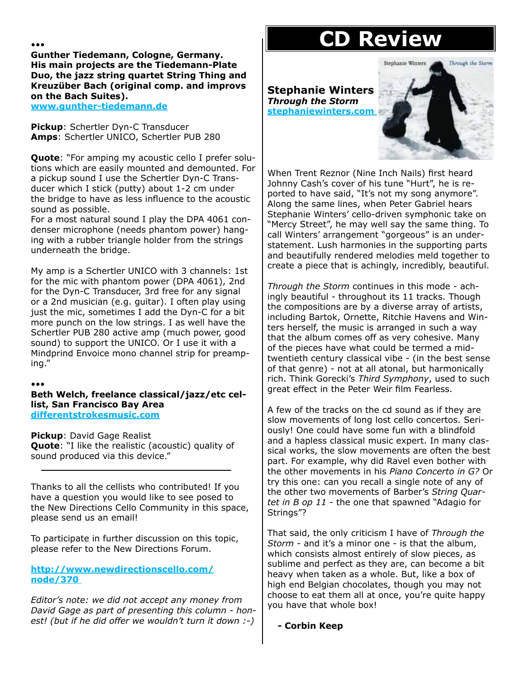#### •••

**Gunther Tiedemann, Cologne, Germany. His main projects are the Tiedemann-Plate Duo, the jazz string quartet String Thing and Kreuzüber Bach (original comp. and improvs on the Bach Suites).** 

**www.gunther-tiedemann.de**

**Pickup**: Schertler Dyn-C Transducer **Amps**: Schertler UNICO, Schertler PUB 280

**Quote**: "For amping my acoustic cello I prefer solutions which are easily mounted and demounted. For a pickup sound I use the Schertler Dyn-C Transducer which I stick (putty) about 1-2 cm under the bridge to have as less influence to the acoustic sound as possible.

For a most natural sound I play the DPA 4061 condenser microphone (needs phantom power) hanging with a rubber triangle holder from the strings underneath the bridge.

My amp is a Schertler UNICO with 3 channels: 1st for the mic with phantom power (DPA 4061), 2nd for the Dyn-C Transducer, 3rd free for any signal or a 2nd musician (e.g. guitar). I often play using just the mic, sometimes I add the Dyn-C for a bit more punch on the low strings. I as well have the Schertler PUB 280 active amp (much power, good sound) to support the UNICO. Or I use it with a Mindprind Envoice mono channel strip for preamping."

#### •••

**Beth Welch, freelance classical/jazz/etc cellist, San Francisco Bay Area differentstrokesmusic.com**

**Pickup**: David Gage Realist

**Quote**: "I like the realistic (acoustic) quality of sound produced via this device."

Thanks to all the cellists who contributed! If you have a question you would like to see posed to the New Directions Cello Community in this space, please send us an email!

To participate in further discussion on this topic, please refer to the New Directions Forum.

**http://www.newdirectionscello.com/ node/370** 

*Editor's note: we did not accept any money from David Gage as part of presenting this column - honest! (but if he did offer we wouldn't turn it down :-)* 

# **CD Review**

Stephanie Winters Through the Storm

**Stephanie Winters**  *Through the Storm* **stephaniewinters.com** 



When Trent Reznor (Nine Inch Nails) first heard Johnny Cash's cover of his tune "Hurt", he is reported to have said, "It's not my song anymore". Along the same lines, when Peter Gabriel hears Stephanie Winters' cello-driven symphonic take on "Mercy Street", he may well say the same thing. To call Winters' arrangement "gorgeous" is an understatement. Lush harmonies in the supporting parts and beautifully rendered melodies meld together to create a piece that is achingly, incredibly, beautiful.

*Through the Storm* continues in this mode - achingly beautiful - throughout its 11 tracks. Though the compositions are by a diverse array of artists, including Bartok, Ornette, Ritchie Havens and Winters herself, the music is arranged in such a way that the album comes off as very cohesive. Many of the pieces have what could be termed a midtwentieth century classical vibe - (in the best sense of that genre) - not at all atonal, but harmonically rich. Think Gorecki's *Third Symphony*, used to such great effect in the Peter Weir film Fearless.

A few of the tracks on the cd sound as if they are slow movements of long lost cello concertos. Seriously! One could have some fun with a blindfold and a hapless classical music expert. In many classical works, the slow movements are often the best part. For example, why did Ravel even bother with the other movements in his *Piano Concerto in G?* Or try this one: can you recall a single note of any of the other two movements of Barber's *String Quartet in B op 11* - the one that spawned "Adagio for Strings"?

That said, the only criticism I have of *Through the Storm* - and it's a minor one - is that the album, which consists almost entirely of slow pieces, as sublime and perfect as they are, can become a bit heavy when taken as a whole. But, like a box of high end Belgian chocolates, though you may not choose to eat them all at once, you're quite happy you have that whole box!

**- Corbin Keep**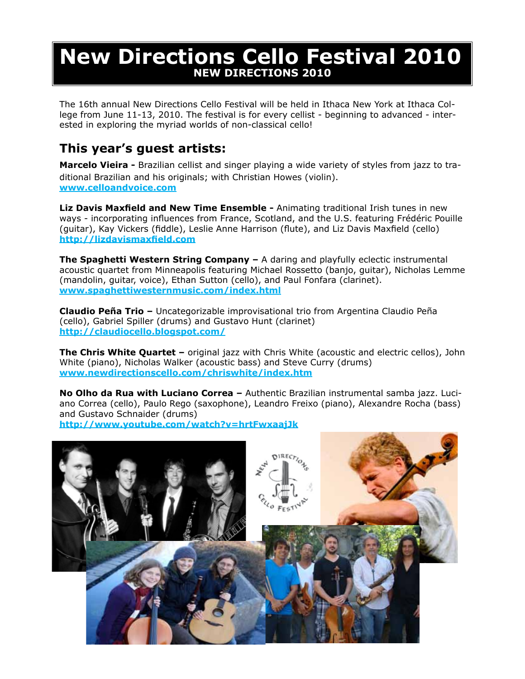# **New Directions Cello Festival 2010 NEW DIRECTIONS 2010**

The 16th annual New Directions Cello Festival will be held in Ithaca New York at Ithaca College from June 11-13, 2010. The festival is for every cellist - beginning to advanced - interested in exploring the myriad worlds of non-classical cello!

# **This year's guest artists:**

**Marcelo Vieira -** Brazilian cellist and singer playing a wide variety of styles from jazz to traditional Brazilian and his originals; with Christian Howes (violin). **www.celloandvoice.com**

**Liz Davis Maxfield and New Time Ensemble -** Animating traditional Irish tunes in new ways - incorporating influences from France, Scotland, and the U.S. featuring Frédéric Pouille (guitar), Kay Vickers (fiddle), Leslie Anne Harrison (flute), and Liz Davis Maxfield (cello) **http://lizdavismaxfield.com**

**The Spaghetti Western String Company –** A daring and playfully eclectic instrumental acoustic quartet from Minneapolis featuring Michael Rossetto (banjo, guitar), Nicholas Lemme (mandolin, guitar, voice), Ethan Sutton (cello), and Paul Fonfara (clarinet). **www.spaghettiwesternmusic.com/index.html**

**Claudio Peña Trio –** Uncategorizable improvisational trio from Argentina Claudio Peña (cello), Gabriel Spiller (drums) and Gustavo Hunt (clarinet) **http://claudiocello.blogspot.com/**

**The Chris White Quartet –** original jazz with Chris White (acoustic and electric cellos), John White (piano), Nicholas Walker (acoustic bass) and Steve Curry (drums) **www.newdirectionscello.com/chriswhite/index.htm**

**No Olho da Rua with Luciano Correa –** Authentic Brazilian instrumental samba jazz. Luciano Correa (cello), Paulo Rego (saxophone), Leandro Freixo (piano), Alexandre Rocha (bass) and Gustavo Schnaider (drums)

**http://www.youtube.com/watch?v=hrtFwxaajJk**

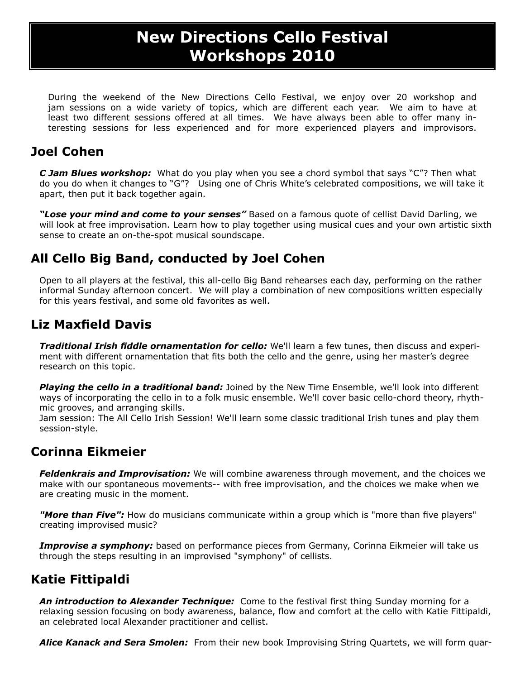# **New Directions Cello Festival Workshops 2010**

During the weekend of the New Directions Cello Festival, we enjoy over 20 workshop and jam sessions on a wide variety of topics, which are different each year. We aim to have at least two different sessions offered at all times. We have always been able to offer many interesting sessions for less experienced and for more experienced players and improvisors.

# **Joel Cohen**

*C Jam Blues workshop:* What do you play when you see a chord symbol that says "C"? Then what do you do when it changes to "G"? Using one of Chris White's celebrated compositions, we will take it apart, then put it back together again.

*"Lose your mind and come to your senses"* Based on a famous quote of cellist David Darling, we will look at free improvisation. Learn how to play together using musical cues and your own artistic sixth sense to create an on-the-spot musical soundscape.

# **All Cello Big Band, conducted by Joel Cohen**

Open to all players at the festival, this all-cello Big Band rehearses each day, performing on the rather informal Sunday afternoon concert. We will play a combination of new compositions written especially for this years festival, and some old favorites as well.

# **Liz Maxfield Davis**

*Traditional Irish fiddle ornamentation for cello:* We'll learn a few tunes, then discuss and experiment with different ornamentation that fits both the cello and the genre, using her master's degree research on this topic.

*Playing the cello in a traditional band:* Joined by the New Time Ensemble, we'll look into different ways of incorporating the cello in to a folk music ensemble. We'll cover basic cello-chord theory, rhythmic grooves, and arranging skills.

Jam session: The All Cello Irish Session! We'll learn some classic traditional Irish tunes and play them session-style.

# **Corinna Eikmeier**

*Feldenkrais and Improvisation:* We will combine awareness through movement, and the choices we make with our spontaneous movements-- with free improvisation, and the choices we make when we are creating music in the moment.

"More than Five": How do musicians communicate within a group which is "more than five players" creating improvised music?

*Improvise a symphony:* based on performance pieces from Germany, Corinna Eikmeier will take us through the steps resulting in an improvised "symphony" of cellists.

# **Katie Fittipaldi**

**An introduction to Alexander Technique:** Come to the festival first thing Sunday morning for a relaxing session focusing on body awareness, balance, flow and comfort at the cello with Katie Fittipaldi, an celebrated local Alexander practitioner and cellist.

*Alice Kanack and Sera Smolen:* From their new book Improvising String Quartets, we will form quar-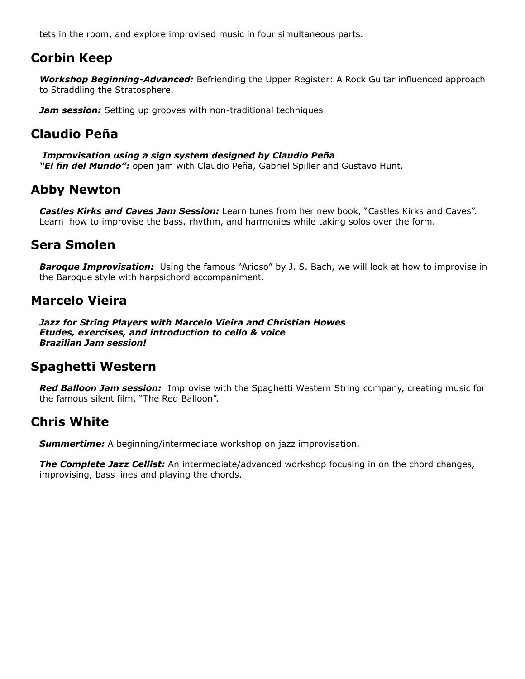tets in the room, and explore improvised music in four simultaneous parts.

### **Corbin Keep**

Workshop Beginning-Advanced: Befriending the Upper Register: A Rock Guitar influenced approach to Straddling the Stratosphere.

*Jam session:* Setting up grooves with non-traditional techniques

## **Claudio Peña**

 *Improvisation using a sign system designed by Claudio Peña* "El fin del Mundo": open jam with Claudio Peña, Gabriel Spiller and Gustavo Hunt.

### **Abby Newton**

*Castles Kirks and Caves Jam Session:* Learn tunes from her new book, "Castles Kirks and Caves". Learn how to improvise the bass, rhythm, and harmonies while taking solos over the form.

### **Sera Smolen**

*Baroque Improvisation:* Using the famous "Arioso" by J. S. Bach, we will look at how to improvise in the Baroque style with harpsichord accompaniment.

### **Marcelo Vieira**

*Jazz for String Players with Marcelo Vieira and Christian Howes Etudes, exercises, and introduction to cello & voice Brazilian Jam session!* 

### **Spaghetti Western**

*Red Balloon Jam session:* Improvise with the Spaghetti Western String company, creating music for the famous silent film, "The Red Balloon".

### **Chris White**

*Summertime:* A beginning/intermediate workshop on jazz improvisation.

**The Complete Jazz Cellist:** An intermediate/advanced workshop focusing in on the chord changes, improvising, bass lines and playing the chords.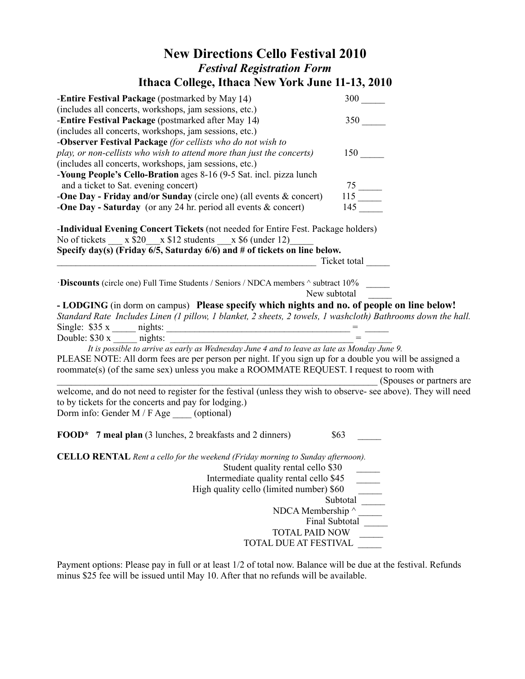# **New Directions Cello Festival 2010** *Festival Registration Form* **Ithaca College, Ithaca New York June 11-13, 2010**

| <b>Entire Festival Package</b> (postmarked by May 14)                                                          | $300$ $\qquad$                 |
|----------------------------------------------------------------------------------------------------------------|--------------------------------|
| (includes all concerts, workshops, jam sessions, etc.)                                                         |                                |
| -Entire Festival Package (postmarked after May 14)                                                             | 350                            |
| (includes all concerts, workshops, jam sessions, etc.)                                                         |                                |
| -Observer Festival Package (for cellists who do not wish to                                                    |                                |
| play, or non-cellists who wish to attend more than just the concerts)                                          | 150                            |
| (includes all concerts, workshops, jam sessions, etc.)                                                         |                                |
| -Young People's Cello-Bration ages 8-16 (9-5 Sat. incl. pizza lunch                                            |                                |
| and a ticket to Sat. evening concert)                                                                          |                                |
| -One Day - Friday and/or Sunday (circle one) (all events $\&$ concert)                                         |                                |
| -One Day - Saturday (or any 24 hr. period all events $\&$ concert)                                             | $\frac{75}{115}$<br>115<br>145 |
| <b>-Individual Evening Concert Tickets</b> (not needed for Entire Fest. Package holders)                       |                                |
| No of tickets $x $20 \times $12$ students $x $6$ (under 12)                                                    |                                |
| Specify day(s) (Friday 6/5, Saturday 6/6) and # of tickets on line below.                                      |                                |
|                                                                                                                | Ticket total                   |
|                                                                                                                |                                |
| <b>Discounts</b> (circle one) Full Time Students / Seniors / NDCA members $\land$ subtract 10%                 |                                |
|                                                                                                                | New subtotal                   |
| - LODGING (in dorm on campus) Please specify which nights and no. of people on line below!                     |                                |
| Standard Rate Includes Linen (1 pillow, 1 blanket, 2 sheets, 2 towels, 1 washcloth) Bathrooms down the hall.   |                                |
| Single: \$35 x _____ nights: $=$                                                                               |                                |
|                                                                                                                |                                |
| It is possible to arrive as early as Wednesday June 4 and to leave as late as Monday June 9.                   |                                |
| PLEASE NOTE: All dorm fees are per person per night. If you sign up for a double you will be assigned a        |                                |
| roommate(s) (of the same sex) unless you make a ROOMMATE REQUEST. I request to room with                       |                                |
|                                                                                                                | (Spouses or partners are       |
| welcome, and do not need to register for the festival (unless they wish to observe- see above). They will need |                                |
| to by tickets for the concerts and pay for lodging.)                                                           |                                |
| Dorm info: Gender $M / F$ Age (optional)                                                                       |                                |
|                                                                                                                |                                |
| <b>FOOD</b> * 7 meal plan (3 lunches, 2 breakfasts and 2 dinners)                                              | \$63                           |
| <b>CELLO RENTAL</b> Rent a cello for the weekend (Friday morning to Sunday afternoon).                         |                                |
| Student quality rental cello \$30                                                                              |                                |
| Intermediate quality rental cello \$45                                                                         |                                |
| High quality cello (limited number) \$60                                                                       |                                |
|                                                                                                                | Subtotal                       |
| NDCA Membership ^                                                                                              |                                |
|                                                                                                                | Final Subtotal                 |
| <b>TOTAL PAID NOW</b>                                                                                          |                                |
| TOTAL DUE AT FESTIVAL                                                                                          |                                |
|                                                                                                                |                                |
|                                                                                                                |                                |

Payment options: Please pay in full or at least 1/2 of total now. Balance will be due at the festival. Refunds minus \$25 fee will be issued until May 10. After that no refunds will be available.